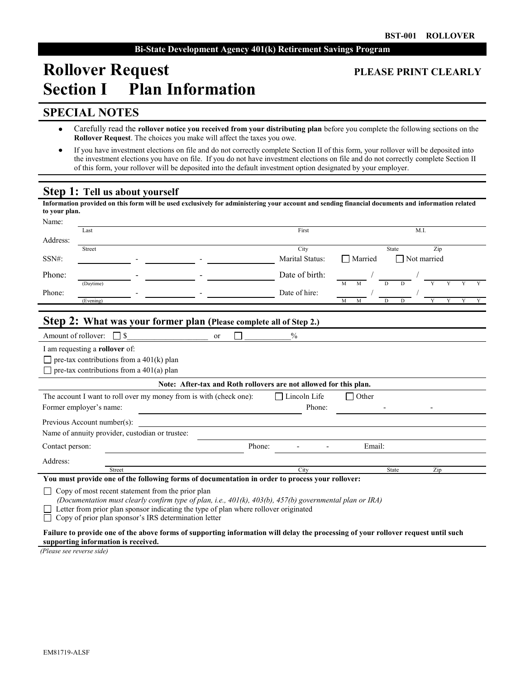# **Rollover Request PLEASE PRINT CLEARLY Section I Plan Information**

### **SPECIAL NOTES**

- $\bullet$ Carefully read the **rollover notice you received from your distributing plan** before you complete the following sections on the **Rollover Request**. The choices you make will affect the taxes you owe.
- $\bullet$ If you have investment elections on file and do not correctly complete Section II of this form, your rollover will be deposited into the investment elections you have on file. If you do not have investment elections on file and do not correctly complete Section II of this form, your rollover will be deposited into the default investment option designated by your employer.

# **Step 1: Tell us about yourself**

| Information provided on this form will be used exclusively for administering your account and sending financial documents and information related<br>to your plan.                                                                                                                                                                     |                                                                   |                         |                                                 |                  |  |  |
|----------------------------------------------------------------------------------------------------------------------------------------------------------------------------------------------------------------------------------------------------------------------------------------------------------------------------------------|-------------------------------------------------------------------|-------------------------|-------------------------------------------------|------------------|--|--|
| Name:<br>Last                                                                                                                                                                                                                                                                                                                          |                                                                   | First                   | M.I.                                            |                  |  |  |
| Address:                                                                                                                                                                                                                                                                                                                               |                                                                   |                         |                                                 |                  |  |  |
| Street<br>$SSN#$ :                                                                                                                                                                                                                                                                                                                     |                                                                   | City<br>Marital Status: | <b>State</b><br>□ Married<br>$\Box$ Not married | Zip              |  |  |
| Phone:<br>(Daytime)                                                                                                                                                                                                                                                                                                                    |                                                                   | Date of birth:          | D<br>M                                          |                  |  |  |
| Phone:<br>(Evening)                                                                                                                                                                                                                                                                                                                    |                                                                   | Date of hire:           | $\overline{D}$<br>M<br>M<br>D                   | Y<br>Y<br>Y<br>Y |  |  |
| <b>Step 2: What was your former plan (Please complete all of Step 2.)</b>                                                                                                                                                                                                                                                              |                                                                   |                         |                                                 |                  |  |  |
| Amount of rollover:<br>$\Box$                                                                                                                                                                                                                                                                                                          | <sub>or</sub>                                                     | $\frac{0}{0}$           |                                                 |                  |  |  |
| I am requesting a rollover of:<br>$\Box$ pre-tax contributions from a 401(k) plan<br>$\Box$ pre-tax contributions from a 401(a) plan                                                                                                                                                                                                   |                                                                   |                         |                                                 |                  |  |  |
|                                                                                                                                                                                                                                                                                                                                        | Note: After-tax and Roth rollovers are not allowed for this plan. |                         |                                                 |                  |  |  |
| The account I want to roll over my money from is with (check one):<br>Former employer's name:                                                                                                                                                                                                                                          |                                                                   | Lincoln Life<br>Phone:  | Other                                           |                  |  |  |
| Previous Account number(s):                                                                                                                                                                                                                                                                                                            |                                                                   |                         |                                                 |                  |  |  |
| Name of annuity provider, custodian or trustee:                                                                                                                                                                                                                                                                                        |                                                                   |                         |                                                 |                  |  |  |
| Contact person:                                                                                                                                                                                                                                                                                                                        | Phone:                                                            |                         | Email:                                          |                  |  |  |
| Address:                                                                                                                                                                                                                                                                                                                               |                                                                   |                         |                                                 |                  |  |  |
| Street<br>You must provide one of the following forms of documentation in order to process your rollover:                                                                                                                                                                                                                              |                                                                   | City                    | <b>State</b>                                    | Zip              |  |  |
| Copy of most recent statement from the prior plan<br>$\mathsf{L}$<br>(Documentation must clearly confirm type of plan, i.e., $401(k)$ , $403(b)$ , $457(b)$ governmental plan or IRA)<br>Letter from prior plan sponsor indicating the type of plan where rollover originated<br>Copy of prior plan sponsor's IRS determination letter |                                                                   |                         |                                                 |                  |  |  |
| Failure to provide one of the above forms of supporting information will delay the processing of your rollover request until such<br>supporting information is received.                                                                                                                                                               |                                                                   |                         |                                                 |                  |  |  |

*(Please see reverse side)*

# EM81719-ALSF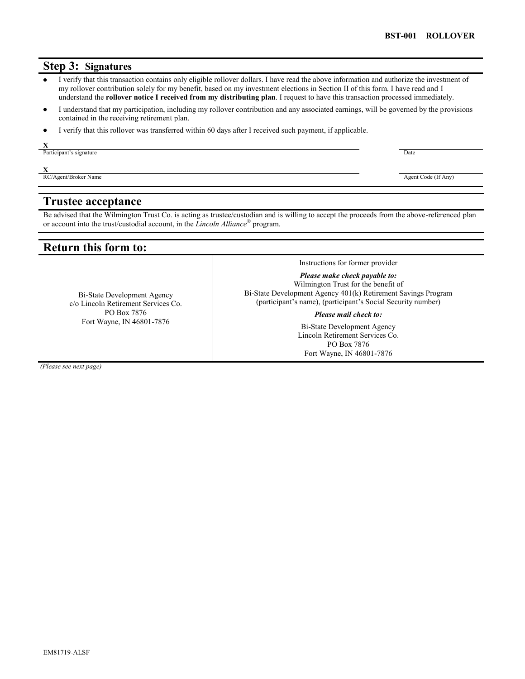### **Step 3: Signatures**

- I verify that this transaction contains only eligible rollover dollars. I have read the above information and authorize the investment of my rollover contribution solely for my benefit, based on my investment elections in Section II of this form. I have read and I understand the **rollover notice I received from my distributing plan**. I request to have this transaction processed immediately.
- I understand that my participation, including my rollover contribution and any associated earnings, will be governed by the provisions  $\bullet$ contained in the receiving retirement plan.
- I verify that this rollover was transferred within 60 days after I received such payment, if applicable.  $\bullet$

Participant's signature Date Contains a series of the Date Contains a series of the Date Contains a series of the Date Contains a series of the Date Contains a series of the Date Contains a series of the Date Contains a se

**X**

**X RC**/Agent/Broker Name Agent Code (If Any)

### **Trustee acceptance**

Be advised that the Wilmington Trust Co. is acting as trustee/custodian and is willing to accept the proceeds from the above-referenced plan or account into the trust/custodial account, in the *Lincoln Alliance*® program.

## **Return this form to:**

Bi-State Development Agency c/o Lincoln Retirement Services Co. PO Box 7876 Fort Wayne, IN 46801-7876

Instructions for former provider

*Please make check payable to:*  Wilmington Trust for the benefit of Bi-State Development Agency 401(k) Retirement Savings Program (participant's name), (participant's Social Security number)

*Please mail check to:*

Bi-State Development Agency Lincoln Retirement Services Co. PO Box 7876 Fort Wayne, IN 46801-7876

*(Please see next page)*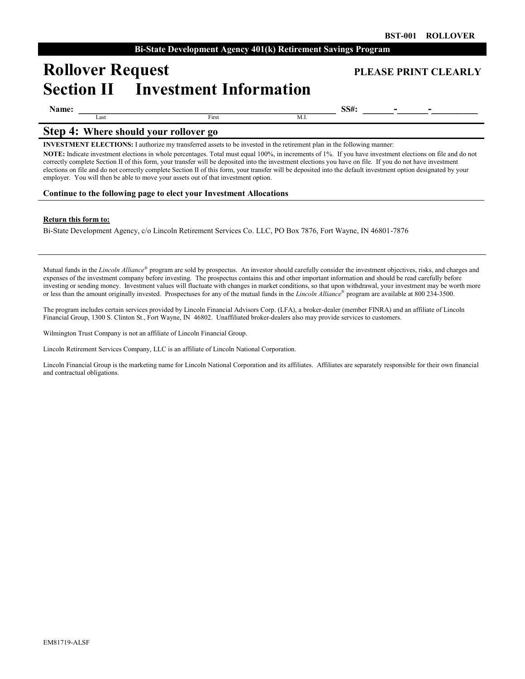# **Rollover Request PLEASE PRINT CLEARLY Section II Investment Information**

| Name |  |
|------|--|
|------|--|

 $\overline{a}$ 

Last **Example 2** First **M.I.** 

**Name: \_\_\_\_\_\_\_\_\_\_\_\_\_\_\_\_\_\_\_\_\_\_\_\_\_\_\_\_\_\_\_\_\_\_\_\_\_\_\_\_\_\_\_\_\_\_\_\_\_\_ SS#: \_\_\_\_\_\_-\_\_\_\_\_\_-\_\_\_\_\_\_\_\_\_**

### **Step 4: Where should your rollover go**

**INVESTMENT ELECTIONS:** I authorize my transferred assets to be invested in the retirement plan in the following manner:

**NOTE:** Indicate investment elections in whole percentages. Total must equal 100%, in increments of 1%. If you have investment elections on file and do not correctly complete Section II of this form, your transfer will be deposited into the investment elections you have on file. If you do not have investment elections on file and do not correctly complete Section II of this form, your transfer will be deposited into the default investment option designated by your employer. You will then be able to move your assets out of that investment option.

#### **Continue to the following page to elect your Investment Allocations**

#### **Return this form to:**

Bi-State Development Agency, c/o Lincoln Retirement Services Co. LLC, PO Box 7876, Fort Wayne, IN 46801-7876

Mutual funds in the *Lincoln Alliance®* program are sold by prospectus. An investor should carefully consider the investment objectives, risks, and charges and expenses of the investment company before investing. The prospectus contains this and other important information and should be read carefully before investing or sending money. Investment values will fluctuate with changes in market conditions, so that upon withdrawal, your investment may be worth more or less than the amount originally invested. Prospectuses for any of the mutual funds in the *Lincoln Alliance*® program are available at 800 234-3500.

The program includes certain services provided by Lincoln Financial Advisors Corp. (LFA), a broker-dealer (member FINRA) and an affiliate of Lincoln Financial Group, 1300 S. Clinton St., Fort Wayne, IN 46802. Unaffiliated broker-dealers also may provide services to customers.

Wilmington Trust Company is not an affiliate of Lincoln Financial Group.

Lincoln Retirement Services Company, LLC is an affiliate of Lincoln National Corporation.

Lincoln Financial Group is the marketing name for Lincoln National Corporation and its affiliates. Affiliates are separately responsible for their own financial and contractual obligations.